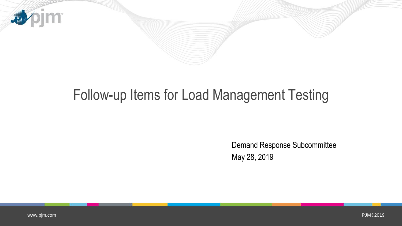

## Follow-up Items for Load Management Testing

Demand Response Subcommittee May 28, 2019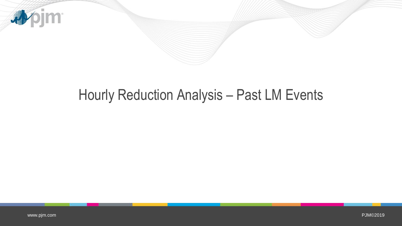

## Hourly Reduction Analysis – Past LM Events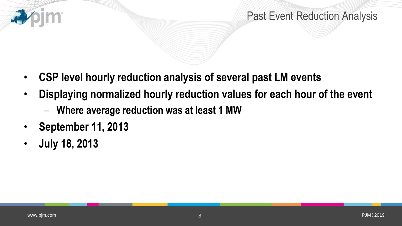

## Past Event Reduction Analysis

- **CSP level hourly reduction analysis of several past LM events**
- **Displaying normalized hourly reduction values for each hour of the event**
	- **Where average reduction was at least 1 MW**
- **September 11, 2013**
- **July 18, 2013**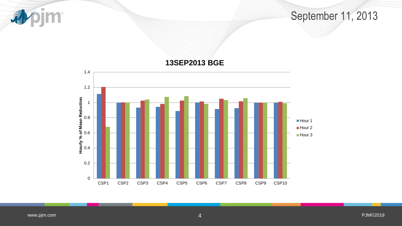pjm<sup>.</sup> 1

September 11, 2013

**13SEP2013 BGE**

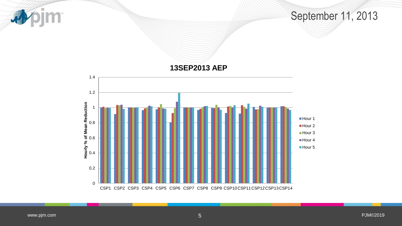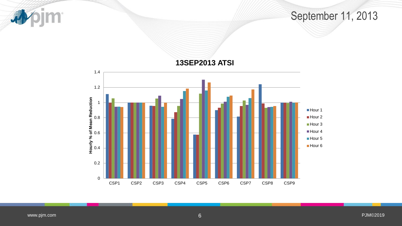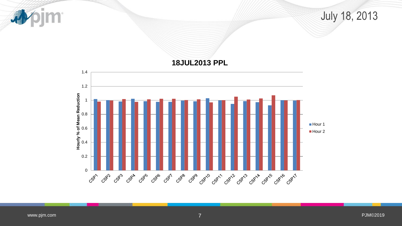pjm<sup>.</sup> 司 July 18, 2013 **18JUL2013 PPL** 1.4 1.2 **Hourly % of Mean Reduction** 1 0.8 **Hour 1** 0.6 Hour 2 0.4 0.2 0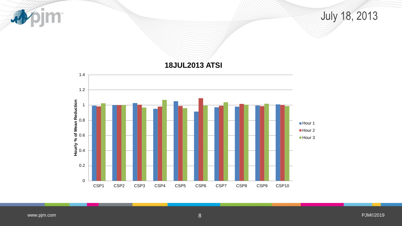pjm<sup>.</sup> 本 July 18, 2013 **18JUL2013 ATSI** 1.4 1.2 **Hourly % of Mean Reduction** 1 0.8 Hour 1 Hour 2 0.6 Hour 3 0.4 0.2

0

CSP1 CSP2 CSP3 CSP4 CSP5 CSP6 CSP7 CSP8 CSP9 CSP10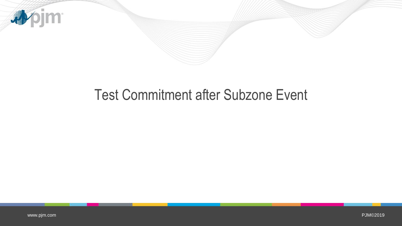

## Test Commitment after Subzone Event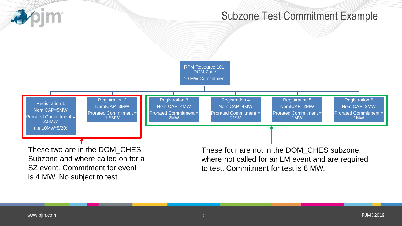